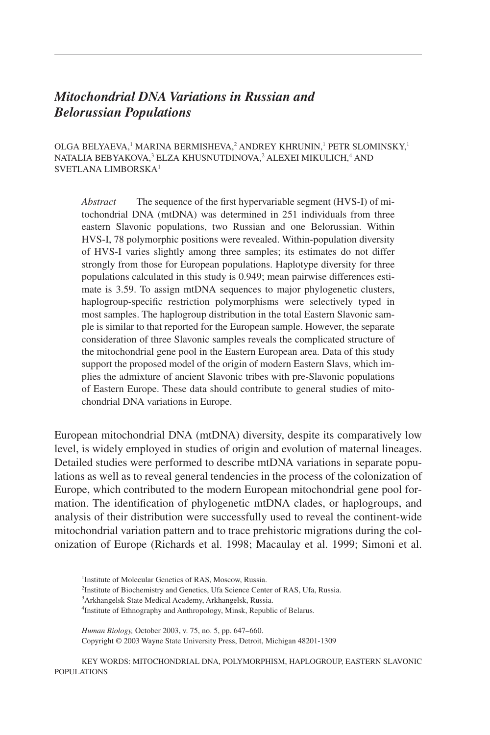# *Mitochondrial DNA Variations in Russian and Belorussian Populations*

OLGA BELYAEVA,<sup>1</sup> MARINA BERMISHEVA,<sup>2</sup> ANDREY KHRUNIN,<sup>1</sup> PETR SLOMINSKY,<sup>1</sup> NATALIA BEBYAKOVA,<sup>3</sup> ELZA KHUSNUTDINOVA,<sup>2</sup> ALEXEI MIKULICH,<sup>4</sup> AND SVETLANA LIMBORSKA1

*Abstract* The sequence of the first hypervariable segment (HVS-I) of mitochondrial DNA (mtDNA) was determined in 251 individuals from three eastern Slavonic populations, two Russian and one Belorussian. Within HVS-I, 78 polymorphic positions were revealed. Within-population diversity of HVS-I varies slightly among three samples; its estimates do not differ strongly from those for European populations. Haplotype diversity for three populations calculated in this study is 0.949; mean pairwise differences estimate is 3.59. To assign mtDNA sequences to major phylogenetic clusters, haplogroup-specific restriction polymorphisms were selectively typed in most samples. The haplogroup distribution in the total Eastern Slavonic sample is similar to that reported for the European sample. However, the separate consideration of three Slavonic samples reveals the complicated structure of the mitochondrial gene pool in the Eastern European area. Data of this study support the proposed model of the origin of modern Eastern Slavs, which implies the admixture of ancient Slavonic tribes with pre-Slavonic populations of Eastern Europe. These data should contribute to general studies of mitochondrial DNA variations in Europe.

European mitochondrial DNA (mtDNA) diversity, despite its comparatively low level, is widely employed in studies of origin and evolution of maternal lineages. Detailed studies were performed to describe mtDNA variations in separate populations as well as to reveal general tendencies in the process of the colonization of Europe, which contributed to the modern European mitochondrial gene pool formation. The identification of phylogenetic mtDNA clades, or haplogroups, and analysis of their distribution were successfully used to reveal the continent-wide mitochondrial variation pattern and to trace prehistoric migrations during the colonization of Europe (Richards et al. 1998; Macaulay et al. 1999; Simoni et al.

*Human Biology,* October 2003, v. 75, no. 5, pp. 647–660. Copyright © 2003 Wayne State University Press, Detroit, Michigan 48201-1309

KEY WORDS: MITOCHONDRIAL DNA, POLYMORPHISM, HAPLOGROUP, EASTERN SLAVONIC POPULATIONS

<sup>&</sup>lt;sup>1</sup>Institute of Molecular Genetics of RAS, Moscow, Russia. 2 Institute of Biochemistry and Genetics, Ufa Science Center of RAS, Ufa, Russia. 3 Arkhangelsk State Medical Academy, Arkhangelsk, Russia. 4 Institute of Ethnography and Anthropology, Minsk, Republic of Belarus.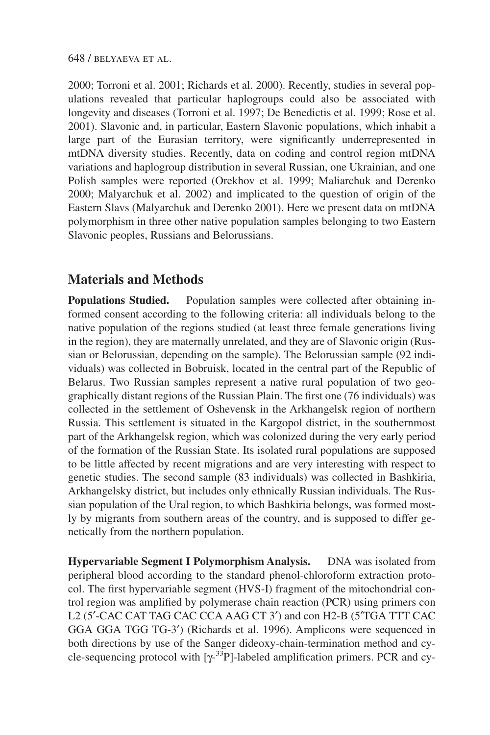#### 648 / belyaeva et al.

2000; Torroni et al. 2001; Richards et al. 2000). Recently, studies in several populations revealed that particular haplogroups could also be associated with longevity and diseases (Torroni et al. 1997; De Benedictis et al. 1999; Rose et al. 2001). Slavonic and, in particular, Eastern Slavonic populations, which inhabit a large part of the Eurasian territory, were significantly underrepresented in mtDNA diversity studies. Recently, data on coding and control region mtDNA variations and haplogroup distribution in several Russian, one Ukrainian, and one Polish samples were reported (Orekhov et al. 1999; Maliarchuk and Derenko 2000; Malyarchuk et al. 2002) and implicated to the question of origin of the Eastern Slavs (Malyarchuk and Derenko 2001). Here we present data on mtDNA polymorphism in three other native population samples belonging to two Eastern Slavonic peoples, Russians and Belorussians.

## **Materials and Methods**

**Populations Studied.** Population samples were collected after obtaining informed consent according to the following criteria: all individuals belong to the native population of the regions studied (at least three female generations living in the region), they are maternally unrelated, and they are of Slavonic origin (Russian or Belorussian, depending on the sample). The Belorussian sample (92 individuals) was collected in Bobruisk, located in the central part of the Republic of Belarus. Two Russian samples represent a native rural population of two geographically distant regions of the Russian Plain. The first one (76 individuals) was collected in the settlement of Oshevensk in the Arkhangelsk region of northern Russia. This settlement is situated in the Kargopol district, in the southernmost part of the Arkhangelsk region, which was colonized during the very early period of the formation of the Russian State. Its isolated rural populations are supposed to be little affected by recent migrations and are very interesting with respect to genetic studies. The second sample (83 individuals) was collected in Bashkiria, Arkhangelsky district, but includes only ethnically Russian individuals. The Russian population of the Ural region, to which Bashkiria belongs, was formed mostly by migrants from southern areas of the country, and is supposed to differ genetically from the northern population.

**Hypervariable Segment I Polymorphism Analysis.** DNA was isolated from peripheral blood according to the standard phenol-chloroform extraction protocol. The first hypervariable segment (HVS-I) fragment of the mitochondrial control region was amplified by polymerase chain reaction (PCR) using primers con L2 (5′-CAC CAT TAG CAC CCA AAG CT 3′) and con H2-B (5′TGA TTT CAC GGA GGA TGG TG-3′) (Richards et al. 1996). Amplicons were sequenced in both directions by use of the Sanger dideoxy-chain-termination method and cycle-sequencing protocol with  $[\gamma$ <sup>-33</sup>P]-labeled amplification primers. PCR and cy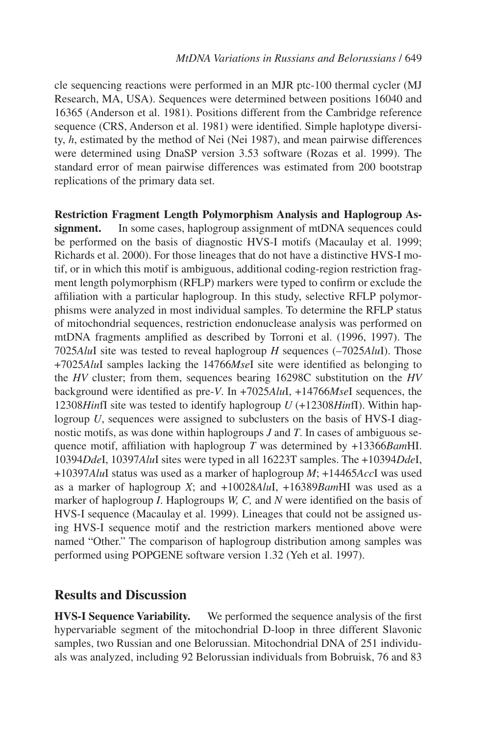cle sequencing reactions were performed in an MJR ptc-100 thermal cycler (MJ Research, MA, USA). Sequences were determined between positions 16040 and 16365 (Anderson et al. 1981). Positions different from the Cambridge reference sequence (CRS, Anderson et al. 1981) were identified. Simple haplotype diversity, *h*, estimated by the method of Nei (Nei 1987), and mean pairwise differences were determined using DnaSP version 3.53 software (Rozas et al. 1999). The standard error of mean pairwise differences was estimated from 200 bootstrap replications of the primary data set.

**Restriction Fragment Length Polymorphism Analysis and Haplogroup Assignment.** In some cases, haplogroup assignment of mtDNA sequences could be performed on the basis of diagnostic HVS-I motifs (Macaulay et al. 1999; Richards et al. 2000). For those lineages that do not have a distinctive HVS-I motif, or in which this motif is ambiguous, additional coding-region restriction fragment length polymorphism (RFLP) markers were typed to confirm or exclude the affiliation with a particular haplogroup. In this study, selective RFLP polymorphisms were analyzed in most individual samples. To determine the RFLP status of mitochondrial sequences, restriction endonuclease analysis was performed on mtDNA fragments amplified as described by Torroni et al. (1996, 1997). The 7025*Alu*I site was tested to reveal haplogroup *H* sequences (–7025*Alu*I). Those +7025*Alu*I samples lacking the 14766*Mse*I site were identified as belonging to the *HV* cluster; from them, sequences bearing 16298C substitution on the *HV* background were identified as pre-*V*. In +7025*Alu*I, +14766*Mse*I sequences, the 12308*Hin*fI site was tested to identify haplogroup *U* (+12308*Hin*fI). Within haplogroup *U*, sequences were assigned to subclusters on the basis of HVS-I diagnostic motifs, as was done within haplogroups *J* and *T*. In cases of ambiguous sequence motif, affiliation with haplogroup *T* was determined by +13366*Bam*HI. 10394*Dde*I, 10397*Alu*I sites were typed in all 16223T samples. The +10394*Dde*I, +10397*Alu*I status was used as a marker of haplogroup *M*; +14465*Acc*I was used as a marker of haplogroup *X*; and +10028*Alu*I, +16389*Bam*HI was used as a marker of haplogroup *I*. Haplogroups *W, C,* and *N* were identified on the basis of HVS-I sequence (Macaulay et al. 1999). Lineages that could not be assigned using HVS-I sequence motif and the restriction markers mentioned above were named "Other." The comparison of haplogroup distribution among samples was performed using POPGENE software version 1.32 (Yeh et al. 1997).

### **Results and Discussion**

**HVS-I Sequence Variability.** We performed the sequence analysis of the first hypervariable segment of the mitochondrial D-loop in three different Slavonic samples, two Russian and one Belorussian. Mitochondrial DNA of 251 individuals was analyzed, including 92 Belorussian individuals from Bobruisk, 76 and 83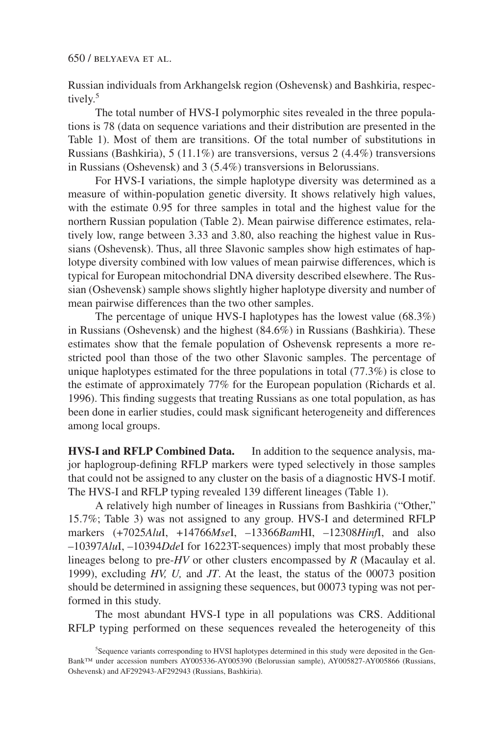Russian individuals from Arkhangelsk region (Oshevensk) and Bashkiria, respectively.<sup>5</sup>

The total number of HVS-I polymorphic sites revealed in the three populations is 78 (data on sequence variations and their distribution are presented in the Table 1). Most of them are transitions. Of the total number of substitutions in Russians (Bashkiria), 5 (11.1%) are transversions, versus 2 (4.4%) transversions in Russians (Oshevensk) and 3 (5.4%) transversions in Belorussians.

For HVS-I variations, the simple haplotype diversity was determined as a measure of within-population genetic diversity. It shows relatively high values, with the estimate 0.95 for three samples in total and the highest value for the northern Russian population (Table 2). Mean pairwise difference estimates, relatively low, range between 3.33 and 3.80, also reaching the highest value in Russians (Oshevensk). Thus, all three Slavonic samples show high estimates of haplotype diversity combined with low values of mean pairwise differences, which is typical for European mitochondrial DNA diversity described elsewhere. The Russian (Oshevensk) sample shows slightly higher haplotype diversity and number of mean pairwise differences than the two other samples.

The percentage of unique HVS-I haplotypes has the lowest value (68.3%) in Russians (Oshevensk) and the highest (84.6%) in Russians (Bashkiria). These estimates show that the female population of Oshevensk represents a more restricted pool than those of the two other Slavonic samples. The percentage of unique haplotypes estimated for the three populations in total (77.3%) is close to the estimate of approximately 77% for the European population (Richards et al. 1996). This finding suggests that treating Russians as one total population, as has been done in earlier studies, could mask significant heterogeneity and differences among local groups.

**HVS-I and RFLP Combined Data.** In addition to the sequence analysis, major haplogroup-defining RFLP markers were typed selectively in those samples that could not be assigned to any cluster on the basis of a diagnostic HVS-I motif. The HVS-I and RFLP typing revealed 139 different lineages (Table 1).

A relatively high number of lineages in Russians from Bashkiria ("Other," 15.7%; Table 3) was not assigned to any group. HVS-I and determined RFLP markers (+7025*Alu*I, +14766*Mse*I, –13366*Bam*HI, –12308*Hinf*I, and also –10397*Alu*I, –10394*Dde*I for 16223T-sequences) imply that most probably these lineages belong to pre-*HV* or other clusters encompassed by *R* (Macaulay et al. 1999), excluding *HV, U,* and *JT*. At the least, the status of the 00073 position should be determined in assigning these sequences, but 00073 typing was not performed in this study.

The most abundant HVS-I type in all populations was CRS. Additional RFLP typing performed on these sequences revealed the heterogeneity of this

<sup>5</sup> Sequence variants corresponding to HVSI haplotypes determined in this study were deposited in the Gen-Bank™ under accession numbers AY005336-AY005390 (Belorussian sample), AY005827-AY005866 (Russians, Oshevensk) and AF292943-AF292943 (Russians, Bashkiria).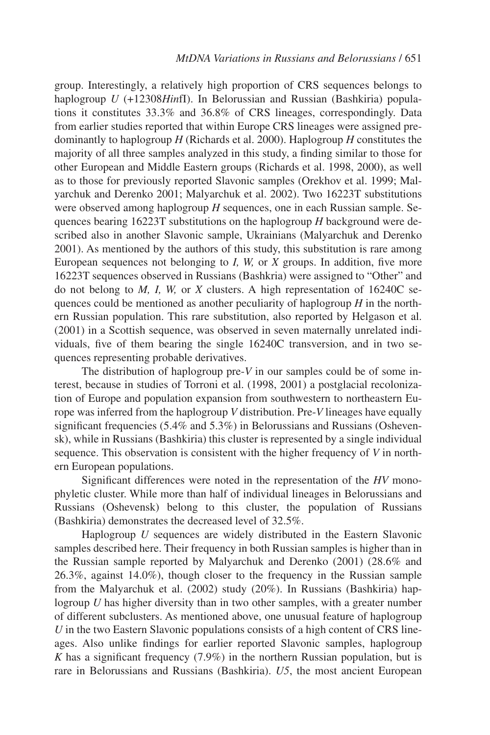group. Interestingly, a relatively high proportion of CRS sequences belongs to haplogroup *U* (+12308*Hin*fI). In Belorussian and Russian (Bashkiria) populations it constitutes 33.3% and 36.8% of CRS lineages, correspondingly. Data from earlier studies reported that within Europe CRS lineages were assigned predominantly to haplogroup *H* (Richards et al. 2000). Haplogroup *H* constitutes the majority of all three samples analyzed in this study, a finding similar to those for other European and Middle Eastern groups (Richards et al. 1998, 2000), as well as to those for previously reported Slavonic samples (Orekhov et al. 1999; Malyarchuk and Derenko 2001; Malyarchuk et al. 2002). Two 16223T substitutions were observed among haplogroup *H* sequences, one in each Russian sample. Sequences bearing 16223T substitutions on the haplogroup *H* background were described also in another Slavonic sample, Ukrainians (Malyarchuk and Derenko 2001). As mentioned by the authors of this study, this substitution is rare among European sequences not belonging to *I, W,* or *X* groups. In addition, five more 16223T sequences observed in Russians (Bashkria) were assigned to "Other" and do not belong to *M, I, W,* or *X* clusters. A high representation of 16240C sequences could be mentioned as another peculiarity of haplogroup *H* in the northern Russian population. This rare substitution, also reported by Helgason et al. (2001) in a Scottish sequence, was observed in seven maternally unrelated individuals, five of them bearing the single 16240C transversion, and in two sequences representing probable derivatives.

The distribution of haplogroup pre-*V* in our samples could be of some interest, because in studies of Torroni et al. (1998, 2001) a postglacial recolonization of Europe and population expansion from southwestern to northeastern Europe was inferred from the haplogroup *V* distribution. Pre-*V* lineages have equally significant frequencies (5.4% and 5.3%) in Belorussians and Russians (Oshevensk), while in Russians (Bashkiria) this cluster is represented by a single individual sequence. This observation is consistent with the higher frequency of *V* in northern European populations.

Significant differences were noted in the representation of the *HV* monophyletic cluster. While more than half of individual lineages in Belorussians and Russians (Oshevensk) belong to this cluster, the population of Russians (Bashkiria) demonstrates the decreased level of 32.5%.

Haplogroup *U* sequences are widely distributed in the Eastern Slavonic samples described here. Their frequency in both Russian samples is higher than in the Russian sample reported by Malyarchuk and Derenko (2001) (28.6% and 26.3%, against 14.0%), though closer to the frequency in the Russian sample from the Malyarchuk et al. (2002) study (20%). In Russians (Bashkiria) haplogroup *U* has higher diversity than in two other samples, with a greater number of different subclusters. As mentioned above, one unusual feature of haplogroup *U* in the two Eastern Slavonic populations consists of a high content of CRS lineages. Also unlike findings for earlier reported Slavonic samples, haplogroup *K* has a significant frequency (7.9%) in the northern Russian population, but is rare in Belorussians and Russians (Bashkiria). *U5*, the most ancient European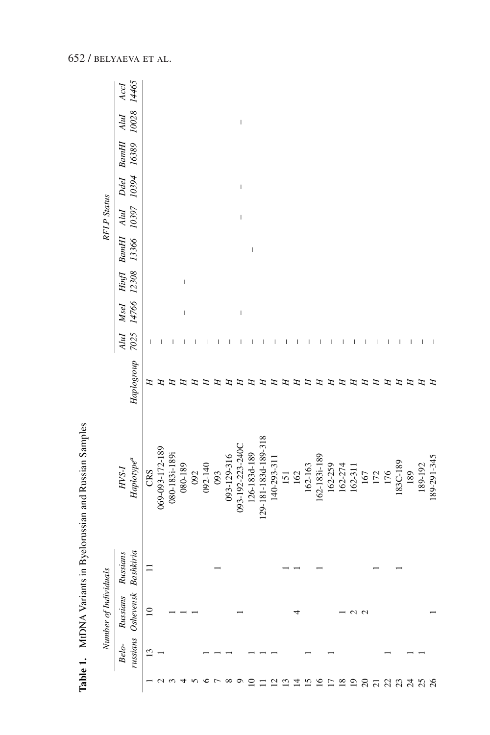|                 |                   | MtDNA Variants in Byelorussian and Russian Samples |                       |                                      |              |              |                                                                                                                                                                                                                                                                                                                                                                                  |                                       |                |                    |               |                |               |               |
|-----------------|-------------------|----------------------------------------------------|-----------------------|--------------------------------------|--------------|--------------|----------------------------------------------------------------------------------------------------------------------------------------------------------------------------------------------------------------------------------------------------------------------------------------------------------------------------------------------------------------------------------|---------------------------------------|----------------|--------------------|---------------|----------------|---------------|---------------|
|                 |                   | Number of Individuals                              |                       |                                      |              |              |                                                                                                                                                                                                                                                                                                                                                                                  |                                       |                | <b>RFLP</b> Status |               |                |               |               |
|                 | russians<br>Belo- | Oshevensk<br>Russians                              | Bashkiria<br>Russians | Haplo type <sup>a</sup><br>$HYS-I$   | Haplogroup   | 7025<br>AluI | MseI<br>14766                                                                                                                                                                                                                                                                                                                                                                    | 12308<br>$\mathit{Hinf}$              | 13366<br>BamHI | 10397<br>Alul      | 10394<br>Ddel | BamHI<br>16389 | 10028<br>AluI | 14465<br>AccI |
|                 | $\mathbf{r}$      | $\supseteq$                                        | $\equiv$              | CRS                                  | Ξ            | I            |                                                                                                                                                                                                                                                                                                                                                                                  |                                       |                |                    |               |                |               |               |
|                 |                   |                                                    |                       | 069-093-172-189                      | E            |              |                                                                                                                                                                                                                                                                                                                                                                                  |                                       |                |                    |               |                |               |               |
|                 |                   |                                                    |                       | 080-183i-189i                        | エ            |              |                                                                                                                                                                                                                                                                                                                                                                                  |                                       |                |                    |               |                |               |               |
|                 |                   |                                                    |                       | 080-189                              | E            |              | $\begin{array}{c} \hline \end{array}$                                                                                                                                                                                                                                                                                                                                            | $\begin{array}{c} \hline \end{array}$ |                |                    |               |                |               |               |
| n               |                   |                                                    |                       |                                      | ᠴ            |              |                                                                                                                                                                                                                                                                                                                                                                                  |                                       |                |                    |               |                |               |               |
| ৩               |                   |                                                    |                       | 092<br>092-140                       |              |              |                                                                                                                                                                                                                                                                                                                                                                                  |                                       |                |                    |               |                |               |               |
| $\overline{ }$  |                   |                                                    |                       | 093                                  |              |              |                                                                                                                                                                                                                                                                                                                                                                                  |                                       |                |                    |               |                |               |               |
| $^{\circ}$      |                   |                                                    |                       |                                      | æ            |              |                                                                                                                                                                                                                                                                                                                                                                                  |                                       |                |                    |               |                |               |               |
| $\circ$         |                   |                                                    |                       | 093-129-316<br>093-192-223-240C      | œ            |              | $\begin{array}{c} \rule{0pt}{2.5ex} \rule{0pt}{2.5ex} \rule{0pt}{2.5ex} \rule{0pt}{2.5ex} \rule{0pt}{2.5ex} \rule{0pt}{2.5ex} \rule{0pt}{2.5ex} \rule{0pt}{2.5ex} \rule{0pt}{2.5ex} \rule{0pt}{2.5ex} \rule{0pt}{2.5ex} \rule{0pt}{2.5ex} \rule{0pt}{2.5ex} \rule{0pt}{2.5ex} \rule{0pt}{2.5ex} \rule{0pt}{2.5ex} \rule{0pt}{2.5ex} \rule{0pt}{2.5ex} \rule{0pt}{2.5ex} \rule{0$ |                                       |                | $\sf I$            | $\sf I$       |                | $\sf I$       |               |
| $\subseteq$     |                   |                                                    |                       |                                      | E            |              |                                                                                                                                                                                                                                                                                                                                                                                  |                                       | I              |                    |               |                |               |               |
|                 |                   |                                                    |                       | 126-183d-189<br>129-181-183d-189-318 | H            |              |                                                                                                                                                                                                                                                                                                                                                                                  |                                       |                |                    |               |                |               |               |
| 7               |                   |                                                    |                       | 140-293-311                          | œ            |              |                                                                                                                                                                                                                                                                                                                                                                                  |                                       |                |                    |               |                |               |               |
| $\mathbf{r}$    |                   |                                                    |                       | 151                                  | E            | J            |                                                                                                                                                                                                                                                                                                                                                                                  |                                       |                |                    |               |                |               |               |
| 그               |                   | 4                                                  |                       | 162                                  | œ            |              |                                                                                                                                                                                                                                                                                                                                                                                  |                                       |                |                    |               |                |               |               |
| 51              |                   |                                                    |                       |                                      | H            | ı            |                                                                                                                                                                                                                                                                                                                                                                                  |                                       |                |                    |               |                |               |               |
| $\overline{16}$ |                   |                                                    |                       | 162-163<br>162-183i-189              | Ξ            | I            |                                                                                                                                                                                                                                                                                                                                                                                  |                                       |                |                    |               |                |               |               |
| $\overline{1}$  |                   |                                                    |                       |                                      | H            | I            |                                                                                                                                                                                                                                                                                                                                                                                  |                                       |                |                    |               |                |               |               |
| $\overline{18}$ |                   |                                                    |                       | 162-259<br>162-274<br>162-311        | $\mathbf{H}$ | J.           |                                                                                                                                                                                                                                                                                                                                                                                  |                                       |                |                    |               |                |               |               |
| $\overline{19}$ |                   | N                                                  |                       |                                      | E            |              |                                                                                                                                                                                                                                                                                                                                                                                  |                                       |                |                    |               |                |               |               |
|                 |                   | $\sim$                                             |                       |                                      | F            | ı            |                                                                                                                                                                                                                                                                                                                                                                                  |                                       |                |                    |               |                |               |               |
| $20$            |                   |                                                    |                       |                                      | π            |              |                                                                                                                                                                                                                                                                                                                                                                                  |                                       |                |                    |               |                |               |               |
| 234             |                   |                                                    |                       | $\frac{167}{176}$                    | Ξ            | J            |                                                                                                                                                                                                                                                                                                                                                                                  |                                       |                |                    |               |                |               |               |
|                 |                   |                                                    |                       | 183C-189                             | H            | I            |                                                                                                                                                                                                                                                                                                                                                                                  |                                       |                |                    |               |                |               |               |
|                 |                   |                                                    |                       | 189                                  | π            | J.           |                                                                                                                                                                                                                                                                                                                                                                                  |                                       |                |                    |               |                |               |               |
| 25              |                   |                                                    |                       | 189-192                              | Ξ            |              |                                                                                                                                                                                                                                                                                                                                                                                  |                                       |                |                    |               |                |               |               |
|                 |                   |                                                    |                       | 189-291-345                          | Н            |              |                                                                                                                                                                                                                                                                                                                                                                                  |                                       |                |                    |               |                |               |               |

Table 1. MtDNA Variants in Byelorussian and Russian Samples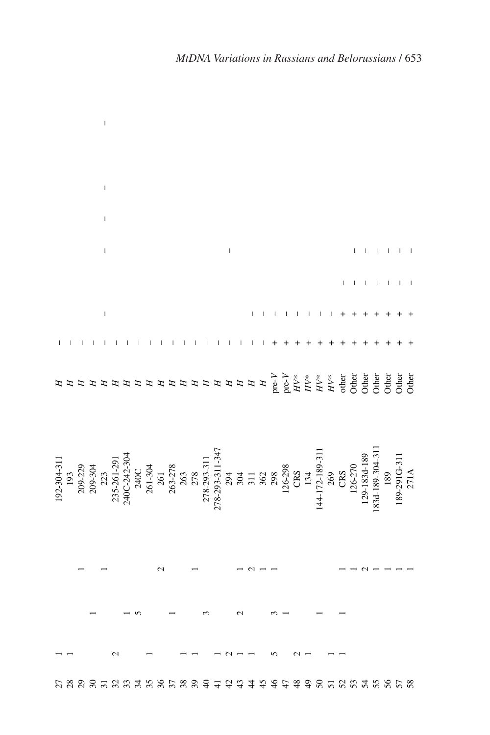|                                                                                                                                                                                                                                                                                 |  | J.                                                                                                                                                                                                                                                                                                                                                                                                             |  |          |  |                                            |             |  |  |  |               |  |           |                                               |  |  |  |
|---------------------------------------------------------------------------------------------------------------------------------------------------------------------------------------------------------------------------------------------------------------------------------|--|----------------------------------------------------------------------------------------------------------------------------------------------------------------------------------------------------------------------------------------------------------------------------------------------------------------------------------------------------------------------------------------------------------------|--|----------|--|--------------------------------------------|-------------|--|--|--|---------------|--|-----------|-----------------------------------------------|--|--|--|
|                                                                                                                                                                                                                                                                                 |  |                                                                                                                                                                                                                                                                                                                                                                                                                |  |          |  |                                            |             |  |  |  |               |  |           |                                               |  |  |  |
|                                                                                                                                                                                                                                                                                 |  |                                                                                                                                                                                                                                                                                                                                                                                                                |  |          |  |                                            |             |  |  |  |               |  |           |                                               |  |  |  |
|                                                                                                                                                                                                                                                                                 |  | $\sf I$                                                                                                                                                                                                                                                                                                                                                                                                        |  |          |  |                                            |             |  |  |  |               |  |           |                                               |  |  |  |
|                                                                                                                                                                                                                                                                                 |  | $\begin{array}{c} \rule{0pt}{2ex} \rule{0pt}{2ex} \rule{0pt}{2ex} \rule{0pt}{2ex} \rule{0pt}{2ex} \rule{0pt}{2ex} \rule{0pt}{2ex} \rule{0pt}{2ex} \rule{0pt}{2ex} \rule{0pt}{2ex} \rule{0pt}{2ex} \rule{0pt}{2ex} \rule{0pt}{2ex} \rule{0pt}{2ex} \rule{0pt}{2ex} \rule{0pt}{2ex} \rule{0pt}{2ex} \rule{0pt}{2ex} \rule{0pt}{2ex} \rule{0pt}{2ex} \rule{0pt}{2ex} \rule{0pt}{2ex} \rule{0pt}{2ex} \rule{0pt}{$ |  |          |  |                                            |             |  |  |  |               |  |           |                                               |  |  |  |
|                                                                                                                                                                                                                                                                                 |  |                                                                                                                                                                                                                                                                                                                                                                                                                |  |          |  |                                            | $\sim$ $-1$ |  |  |  |               |  |           | $\frac{1}{1}$ , $\frac{1}{1}$ , $\frac{1}{1}$ |  |  |  |
|                                                                                                                                                                                                                                                                                 |  |                                                                                                                                                                                                                                                                                                                                                                                                                |  |          |  |                                            |             |  |  |  |               |  |           |                                               |  |  |  |
|                                                                                                                                                                                                                                                                                 |  |                                                                                                                                                                                                                                                                                                                                                                                                                |  |          |  |                                            |             |  |  |  |               |  |           |                                               |  |  |  |
|                                                                                                                                                                                                                                                                                 |  | $\begin{array}{c} \rule{0pt}{2ex} \rule{0pt}{2ex} \rule{0pt}{2ex} \rule{0pt}{2ex} \rule{0pt}{2ex} \rule{0pt}{2ex} \rule{0pt}{2ex} \rule{0pt}{2ex} \rule{0pt}{2ex} \rule{0pt}{2ex} \rule{0pt}{2ex} \rule{0pt}{2ex} \rule{0pt}{2ex} \rule{0pt}{2ex} \rule{0pt}{2ex} \rule{0pt}{2ex} \rule{0pt}{2ex} \rule{0pt}{2ex} \rule{0pt}{2ex} \rule{0pt}{2ex} \rule{0pt}{2ex} \rule{0pt}{2ex} \rule{0pt}{2ex} \rule{0pt}{$ |  |          |  |                                            |             |  |  |  |               |  |           |                                               |  |  |  |
|                                                                                                                                                                                                                                                                                 |  |                                                                                                                                                                                                                                                                                                                                                                                                                |  |          |  |                                            |             |  |  |  |               |  |           |                                               |  |  |  |
|                                                                                                                                                                                                                                                                                 |  |                                                                                                                                                                                                                                                                                                                                                                                                                |  |          |  |                                            |             |  |  |  |               |  |           |                                               |  |  |  |
|                                                                                                                                                                                                                                                                                 |  |                                                                                                                                                                                                                                                                                                                                                                                                                |  |          |  |                                            |             |  |  |  |               |  |           |                                               |  |  |  |
|                                                                                                                                                                                                                                                                                 |  |                                                                                                                                                                                                                                                                                                                                                                                                                |  |          |  |                                            |             |  |  |  |               |  |           |                                               |  |  |  |
|                                                                                                                                                                                                                                                                                 |  |                                                                                                                                                                                                                                                                                                                                                                                                                |  |          |  |                                            |             |  |  |  |               |  |           |                                               |  |  |  |
| 192-304-311<br>193<br>209-204<br>209-304<br>209-304<br>209-304<br>209-304<br>209-304<br>209-304<br>209-242-304<br>209-304<br>200-242-304<br>200-242-304<br>200-242-304<br>200-242-304<br>200-242-304<br>201<br>203-311-347<br>203<br>203<br>203<br>203<br>203<br>203<br>203<br> |  |                                                                                                                                                                                                                                                                                                                                                                                                                |  |          |  |                                            |             |  |  |  |               |  |           |                                               |  |  |  |
|                                                                                                                                                                                                                                                                                 |  |                                                                                                                                                                                                                                                                                                                                                                                                                |  |          |  |                                            |             |  |  |  |               |  |           |                                               |  |  |  |
|                                                                                                                                                                                                                                                                                 |  |                                                                                                                                                                                                                                                                                                                                                                                                                |  |          |  |                                            |             |  |  |  |               |  |           |                                               |  |  |  |
|                                                                                                                                                                                                                                                                                 |  |                                                                                                                                                                                                                                                                                                                                                                                                                |  |          |  |                                            |             |  |  |  |               |  |           |                                               |  |  |  |
|                                                                                                                                                                                                                                                                                 |  |                                                                                                                                                                                                                                                                                                                                                                                                                |  |          |  |                                            |             |  |  |  |               |  |           |                                               |  |  |  |
|                                                                                                                                                                                                                                                                                 |  |                                                                                                                                                                                                                                                                                                                                                                                                                |  |          |  |                                            |             |  |  |  |               |  |           |                                               |  |  |  |
|                                                                                                                                                                                                                                                                                 |  |                                                                                                                                                                                                                                                                                                                                                                                                                |  |          |  |                                            |             |  |  |  |               |  |           |                                               |  |  |  |
|                                                                                                                                                                                                                                                                                 |  |                                                                                                                                                                                                                                                                                                                                                                                                                |  |          |  |                                            |             |  |  |  |               |  |           |                                               |  |  |  |
|                                                                                                                                                                                                                                                                                 |  |                                                                                                                                                                                                                                                                                                                                                                                                                |  |          |  |                                            |             |  |  |  |               |  |           |                                               |  |  |  |
|                                                                                                                                                                                                                                                                                 |  |                                                                                                                                                                                                                                                                                                                                                                                                                |  | 25.58558 |  | $\begin{array}{c} 8894 \\ 841 \end{array}$ |             |  |  |  | $\frac{8}{4}$ |  | 526558558 |                                               |  |  |  |

 $\bar{1}$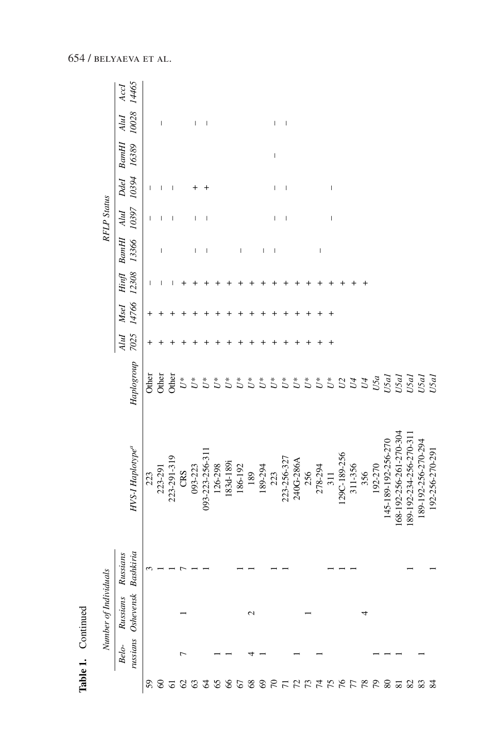|                           | Table 1.          | Continued             |                       |                                 |                      |              |               |                     |                                |                                                                                                                                                                                                                                                                                                                                                                                  |                                                                                                                                                                                                                                                                                                                                                                                  |                                                                                                                                                                                                                                                                                                                                                                                  |                                |               |
|---------------------------|-------------------|-----------------------|-----------------------|---------------------------------|----------------------|--------------|---------------|---------------------|--------------------------------|----------------------------------------------------------------------------------------------------------------------------------------------------------------------------------------------------------------------------------------------------------------------------------------------------------------------------------------------------------------------------------|----------------------------------------------------------------------------------------------------------------------------------------------------------------------------------------------------------------------------------------------------------------------------------------------------------------------------------------------------------------------------------|----------------------------------------------------------------------------------------------------------------------------------------------------------------------------------------------------------------------------------------------------------------------------------------------------------------------------------------------------------------------------------|--------------------------------|---------------|
|                           |                   | Number of Individuals |                       |                                 |                      |              |               |                     |                                | <b>RFLP</b> Status                                                                                                                                                                                                                                                                                                                                                               |                                                                                                                                                                                                                                                                                                                                                                                  |                                                                                                                                                                                                                                                                                                                                                                                  |                                |               |
|                           | russians<br>Belo- | Oshevensk<br>Russians | Bashkiria<br>Russians | HVS-I Haplotype <sup>a</sup>    | Haplogroup           | 7025<br>AluI | 14766<br>Msel | 12308<br>$\lim_{f}$ | 13366<br><b>BamH</b>           | 10397<br>AluI                                                                                                                                                                                                                                                                                                                                                                    | 10394<br>Ddel                                                                                                                                                                                                                                                                                                                                                                    | <b>BantH</b><br>16389                                                                                                                                                                                                                                                                                                                                                            | 10028<br>AluI                  | 14465<br>AccI |
| 59                        |                   |                       |                       | 223                             | Other                |              | $\,^+$        |                     |                                | I                                                                                                                                                                                                                                                                                                                                                                                | $\begin{array}{c} \rule{0pt}{2.5ex} \rule{0pt}{2.5ex} \rule{0pt}{2.5ex} \rule{0pt}{2.5ex} \rule{0pt}{2.5ex} \rule{0pt}{2.5ex} \rule{0pt}{2.5ex} \rule{0pt}{2.5ex} \rule{0pt}{2.5ex} \rule{0pt}{2.5ex} \rule{0pt}{2.5ex} \rule{0pt}{2.5ex} \rule{0pt}{2.5ex} \rule{0pt}{2.5ex} \rule{0pt}{2.5ex} \rule{0pt}{2.5ex} \rule{0pt}{2.5ex} \rule{0pt}{2.5ex} \rule{0pt}{2.5ex} \rule{0$ |                                                                                                                                                                                                                                                                                                                                                                                  |                                |               |
| $\mbox{ }_{60}$           |                   |                       |                       | 223-291                         | Other                |              |               |                     | I                              |                                                                                                                                                                                                                                                                                                                                                                                  |                                                                                                                                                                                                                                                                                                                                                                                  |                                                                                                                                                                                                                                                                                                                                                                                  | I                              |               |
| $\overline{6}$            |                   |                       |                       | 223-291-319                     | Other                |              |               |                     |                                |                                                                                                                                                                                                                                                                                                                                                                                  |                                                                                                                                                                                                                                                                                                                                                                                  |                                                                                                                                                                                                                                                                                                                                                                                  |                                |               |
| $\mathcal{L}$             | ٣                 |                       |                       | CRS                             | $\stackrel{*}{U}$    |              |               |                     |                                |                                                                                                                                                                                                                                                                                                                                                                                  |                                                                                                                                                                                                                                                                                                                                                                                  |                                                                                                                                                                                                                                                                                                                                                                                  |                                |               |
|                           |                   |                       |                       | 093-223                         | $U^*$                |              |               |                     | I                              |                                                                                                                                                                                                                                                                                                                                                                                  |                                                                                                                                                                                                                                                                                                                                                                                  |                                                                                                                                                                                                                                                                                                                                                                                  | I                              |               |
| 23                        |                   |                       |                       | 093-223-256-311                 | $\tilde{U}^*$        |              |               |                     | I                              | I                                                                                                                                                                                                                                                                                                                                                                                |                                                                                                                                                                                                                                                                                                                                                                                  |                                                                                                                                                                                                                                                                                                                                                                                  | $\begin{array}{c} \end{array}$ |               |
|                           |                   |                       |                       |                                 | $\tilde{U}^*$        |              |               |                     |                                |                                                                                                                                                                                                                                                                                                                                                                                  |                                                                                                                                                                                                                                                                                                                                                                                  |                                                                                                                                                                                                                                                                                                                                                                                  |                                |               |
|                           |                   |                       |                       | 126-298<br>183d-189i            | $\tilde{U}^*$        |              |               |                     |                                |                                                                                                                                                                                                                                                                                                                                                                                  |                                                                                                                                                                                                                                                                                                                                                                                  |                                                                                                                                                                                                                                                                                                                                                                                  |                                |               |
|                           |                   |                       |                       | 186-192                         | $\boldsymbol{U}^*$   |              |               |                     | $\overline{\phantom{a}}$       |                                                                                                                                                                                                                                                                                                                                                                                  |                                                                                                                                                                                                                                                                                                                                                                                  |                                                                                                                                                                                                                                                                                                                                                                                  |                                |               |
|                           |                   | 2                     |                       | 189                             | $U^*$                |              |               |                     |                                |                                                                                                                                                                                                                                                                                                                                                                                  |                                                                                                                                                                                                                                                                                                                                                                                  |                                                                                                                                                                                                                                                                                                                                                                                  |                                |               |
|                           |                   |                       |                       | 189-294                         | $U^\ast$             |              |               |                     | I                              |                                                                                                                                                                                                                                                                                                                                                                                  |                                                                                                                                                                                                                                                                                                                                                                                  |                                                                                                                                                                                                                                                                                                                                                                                  |                                |               |
|                           |                   |                       |                       |                                 | $U^\ast$             |              |               |                     | $\begin{array}{c} \end{array}$ | I                                                                                                                                                                                                                                                                                                                                                                                | T                                                                                                                                                                                                                                                                                                                                                                                | $\begin{array}{c} \rule{0pt}{2.5ex} \rule{0pt}{2.5ex} \rule{0pt}{2.5ex} \rule{0pt}{2.5ex} \rule{0pt}{2.5ex} \rule{0pt}{2.5ex} \rule{0pt}{2.5ex} \rule{0pt}{2.5ex} \rule{0pt}{2.5ex} \rule{0pt}{2.5ex} \rule{0pt}{2.5ex} \rule{0pt}{2.5ex} \rule{0pt}{2.5ex} \rule{0pt}{2.5ex} \rule{0pt}{2.5ex} \rule{0pt}{2.5ex} \rule{0pt}{2.5ex} \rule{0pt}{2.5ex} \rule{0pt}{2.5ex} \rule{0$ | I                              |               |
|                           |                   |                       |                       | 223<br>223-256-327<br>240G-286A | $\boldsymbol{U}^*$   |              |               |                     |                                | I                                                                                                                                                                                                                                                                                                                                                                                | $\overline{\phantom{a}}$                                                                                                                                                                                                                                                                                                                                                         |                                                                                                                                                                                                                                                                                                                                                                                  | I                              |               |
|                           |                   |                       |                       |                                 | $\stackrel{*}{\cup}$ |              |               |                     |                                |                                                                                                                                                                                                                                                                                                                                                                                  |                                                                                                                                                                                                                                                                                                                                                                                  |                                                                                                                                                                                                                                                                                                                                                                                  |                                |               |
|                           |                   |                       |                       |                                 | $\mathcal{U}^*$      |              |               |                     |                                |                                                                                                                                                                                                                                                                                                                                                                                  |                                                                                                                                                                                                                                                                                                                                                                                  |                                                                                                                                                                                                                                                                                                                                                                                  |                                |               |
|                           |                   |                       |                       | 256<br>278-294                  | $\tilde{U}^*$        |              |               |                     | $\mathsf I$                    |                                                                                                                                                                                                                                                                                                                                                                                  |                                                                                                                                                                                                                                                                                                                                                                                  |                                                                                                                                                                                                                                                                                                                                                                                  |                                |               |
|                           |                   |                       |                       | 311                             |                      |              |               |                     |                                | $\begin{array}{c} \rule{0pt}{2.5ex} \rule{0pt}{2.5ex} \rule{0pt}{2.5ex} \rule{0pt}{2.5ex} \rule{0pt}{2.5ex} \rule{0pt}{2.5ex} \rule{0pt}{2.5ex} \rule{0pt}{2.5ex} \rule{0pt}{2.5ex} \rule{0pt}{2.5ex} \rule{0pt}{2.5ex} \rule{0pt}{2.5ex} \rule{0pt}{2.5ex} \rule{0pt}{2.5ex} \rule{0pt}{2.5ex} \rule{0pt}{2.5ex} \rule{0pt}{2.5ex} \rule{0pt}{2.5ex} \rule{0pt}{2.5ex} \rule{0$ | $\begin{array}{c} \end{array}$                                                                                                                                                                                                                                                                                                                                                   |                                                                                                                                                                                                                                                                                                                                                                                  |                                |               |
|                           |                   |                       |                       |                                 | $5233$               |              |               |                     |                                |                                                                                                                                                                                                                                                                                                                                                                                  |                                                                                                                                                                                                                                                                                                                                                                                  |                                                                                                                                                                                                                                                                                                                                                                                  |                                |               |
|                           |                   |                       |                       | 129C-189-256<br>311-356         |                      |              |               |                     |                                |                                                                                                                                                                                                                                                                                                                                                                                  |                                                                                                                                                                                                                                                                                                                                                                                  |                                                                                                                                                                                                                                                                                                                                                                                  |                                |               |
|                           |                   |                       |                       | 356                             |                      |              |               |                     |                                |                                                                                                                                                                                                                                                                                                                                                                                  |                                                                                                                                                                                                                                                                                                                                                                                  |                                                                                                                                                                                                                                                                                                                                                                                  |                                |               |
|                           |                   |                       |                       | 192-270                         | U5a                  |              |               |                     |                                |                                                                                                                                                                                                                                                                                                                                                                                  |                                                                                                                                                                                                                                                                                                                                                                                  |                                                                                                                                                                                                                                                                                                                                                                                  |                                |               |
|                           |                   |                       |                       | 145-189-192-256-270             |                      |              |               |                     |                                |                                                                                                                                                                                                                                                                                                                                                                                  |                                                                                                                                                                                                                                                                                                                                                                                  |                                                                                                                                                                                                                                                                                                                                                                                  |                                |               |
|                           |                   |                       |                       | 168-192-256-261-270-304         |                      |              |               |                     |                                |                                                                                                                                                                                                                                                                                                                                                                                  |                                                                                                                                                                                                                                                                                                                                                                                  |                                                                                                                                                                                                                                                                                                                                                                                  |                                |               |
|                           |                   |                       |                       | 189-192-234-256-270-31          | U5al<br>U5al<br>U5al |              |               |                     |                                |                                                                                                                                                                                                                                                                                                                                                                                  |                                                                                                                                                                                                                                                                                                                                                                                  |                                                                                                                                                                                                                                                                                                                                                                                  |                                |               |
| $28838777777777777823333$ |                   |                       |                       | 189-192-256-270-294             | U5al<br>U5al         |              |               |                     |                                |                                                                                                                                                                                                                                                                                                                                                                                  |                                                                                                                                                                                                                                                                                                                                                                                  |                                                                                                                                                                                                                                                                                                                                                                                  |                                |               |
|                           |                   |                       |                       | 192-256-270-291                 |                      |              |               |                     |                                |                                                                                                                                                                                                                                                                                                                                                                                  |                                                                                                                                                                                                                                                                                                                                                                                  |                                                                                                                                                                                                                                                                                                                                                                                  |                                |               |

Table 1. Continued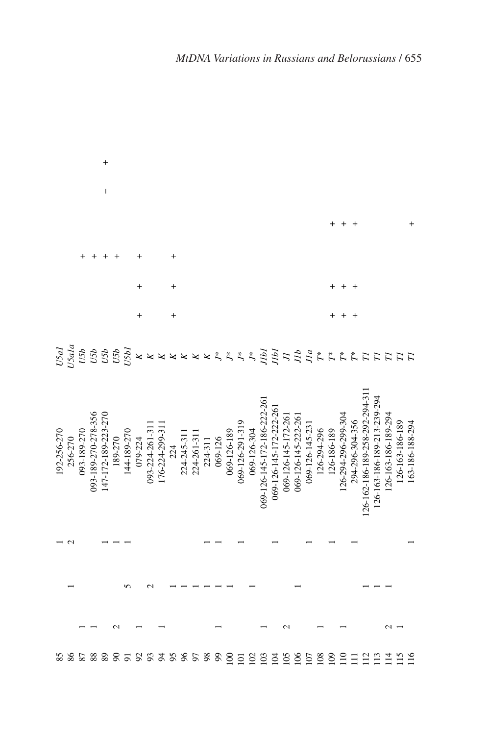|            |         |             |                     | +                   |          |                                    |                         |                |                 |     |            |             |         |                |                                 |                       |                |                             |                         |                     |                     |                |                    |                    |                     |                    |                                |                             |                     |                     |                  |
|------------|---------|-------------|---------------------|---------------------|----------|------------------------------------|-------------------------|----------------|-----------------|-----|------------|-------------|---------|----------------|---------------------------------|-----------------------|----------------|-----------------------------|-------------------------|---------------------|---------------------|----------------|--------------------|--------------------|---------------------|--------------------|--------------------------------|-----------------------------|---------------------|---------------------|------------------|
|            |         |             |                     | $\overline{1}$      |          |                                    |                         |                |                 |     |            |             |         |                |                                 |                       |                |                             |                         |                     |                     |                |                    |                    |                     |                    |                                |                             |                     |                     |                  |
|            |         |             |                     |                     |          |                                    |                         |                |                 |     |            |             |         |                |                                 |                       |                |                             |                         |                     |                     |                |                    |                    |                     |                    |                                |                             |                     |                     |                  |
|            |         |             |                     |                     |          |                                    |                         |                |                 |     |            |             |         |                |                                 |                       |                |                             |                         |                     |                     |                |                    |                    |                     |                    |                                |                             |                     |                     |                  |
|            |         |             |                     |                     |          |                                    |                         |                |                 | ٠   |            |             |         |                |                                 |                       |                |                             |                         |                     |                     |                |                    |                    |                     |                    |                                |                             |                     |                     |                  |
|            |         |             |                     |                     |          |                                    |                         |                |                 |     |            |             |         |                |                                 |                       |                |                             |                         |                     |                     |                |                    |                    |                     |                    |                                |                             |                     |                     |                  |
| USal       | 15a1a   |             |                     |                     |          | <b>155</b><br>1555<br>1555<br>1555 | $\overline{\mathbf{x}}$ | K              | $\pmb{\times}$  | ×   | ×          | ×           | K       | $\zeta$        | $\check{\tilde{\phantom{w}}}\,$ | $\tilde{\mathcal{L}}$ | $\ddot{\zeta}$ | Jlbl                        | JЫ                      | $\overline{L}$      | J1b                 | J/a            | $\tilde{\Gamma}^*$ | $\tilde{\Gamma}^*$ | $\tilde{\Gamma}^*$  | $\tilde{\Gamma}^*$ | П                              | $\overline{\Gamma}$         | $\overline{\Pi}$    | $\overline{\Gamma}$ | $\overline{\Pi}$ |
| 92-256-270 | 256-270 | 093-189-270 | 093-189-270-278-356 | 147-172-189-223-270 | 189-270  | 144-189-270                        | 079-224                 | 093-224-261-31 | 176-224-299-311 | 224 | 224-245-31 | 224-261-311 | 224-311 | 069-126        | 069-126-189                     | 069-126-291-319       | 069-126-304    | 069-126-145-172-186-222-261 | 069-126-145-172-222-261 | 069-126-145-172-261 | 069-126-145-222-261 | 069-126-145-23 | 126-294-296        | 126-186-189        | 126-294-296-299-304 | 294-296-304-356    | 126-162-186-189-258-292-294-31 | 126-163-186-189-213-239-294 | 126-163-186-189-294 | 126-163-186-189     | 163-186-188-294  |
|            |         |             |                     |                     |          |                                    |                         |                |                 |     |            |             |         |                |                                 |                       |                |                             |                         |                     |                     |                |                    |                    |                     |                    |                                |                             |                     |                     |                  |
|            |         |             |                     |                     |          |                                    |                         |                |                 |     |            |             |         |                |                                 |                       |                |                             |                         |                     |                     |                |                    |                    |                     |                    |                                |                             |                     |                     |                  |
|            |         |             |                     |                     |          |                                    |                         |                |                 |     |            |             |         |                |                                 |                       |                |                             |                         |                     |                     |                |                    |                    |                     |                    |                                |                             |                     |                     |                  |
| 85         | 86      | 87          | 88                  | 89                  | $\infty$ | $\overline{5}$                     | $\mathfrak{S}$          | 93             | $\overline{5}$  | 95  | $96$       | 50          | 98      | $\mathfrak{g}$ | $\overline{100}$                | $\overline{101}$      | 102            | 103                         | 104                     | 105                 | 106                 | 107            | 108                | 109                | $\frac{1}{2}$       | Ξ                  | 112                            | $\Xi$                       | 114                 | 115                 | 116              |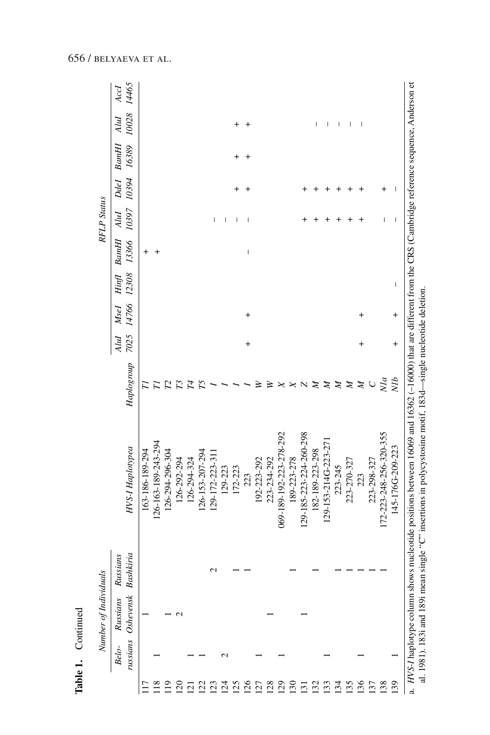| ١<br>ŕ |  |
|--------|--|
|        |  |
|        |  |

|                  |                   | Number of Individuals |                       |                         |            |              |               |                          |                       | <b>RFLP</b> Status       |               |                |               |               |
|------------------|-------------------|-----------------------|-----------------------|-------------------------|------------|--------------|---------------|--------------------------|-----------------------|--------------------------|---------------|----------------|---------------|---------------|
|                  | russians<br>Belo- | Oshevensk<br>Russians | Bashkiria<br>Russians | HVS-I Haplotypea        | Haplogroup | 7025<br>AluI | 14766<br>Msel | 12308<br>Hinfl           | 13366<br><b>BantH</b> | 10397<br>AluI            | 10394<br>Ddel | BamHI<br>16389 | 10028<br>AluI | 14465<br>Accl |
|                  |                   |                       |                       | 163-186-189-294         |            |              |               |                          | $\,^+$                |                          |               |                |               |               |
|                  |                   |                       |                       | 126-163-189-243-294     |            |              |               |                          |                       |                          |               |                |               |               |
| $\overline{19}$  |                   |                       |                       | 126-294-296-304         |            |              |               |                          |                       |                          |               |                |               |               |
| $\overline{20}$  |                   | $\mathbf{\Omega}$     |                       | 126-292-294             |            |              |               |                          |                       |                          |               |                |               |               |
| $\overline{2}$   |                   |                       |                       | 126-294-324             | 74         |              |               |                          |                       |                          |               |                |               |               |
| $\overline{2}$   |                   |                       |                       | 126-153-207-294         |            |              |               |                          |                       |                          |               |                |               |               |
| $\overline{23}$  |                   |                       |                       | 129-172-223-311         |            |              |               |                          |                       | I                        |               |                |               |               |
| $\overline{5}$   | $\mathop{\sim}$   |                       |                       | 129-223                 |            |              |               |                          |                       | I                        |               |                |               |               |
| 125              |                   |                       |                       | 172-223                 |            |              |               |                          |                       |                          |               | +              |               |               |
| 126              |                   |                       |                       | 223                     |            | $\ddot{}$    | $^{+}$        |                          | I                     |                          |               | $\,^+$         | $\,^+$        |               |
| 127              |                   |                       |                       | 192-223-292             |            |              |               |                          |                       |                          |               |                |               |               |
| 128              |                   |                       |                       | 223-234-292             |            |              |               |                          |                       |                          |               |                |               |               |
| $\overline{29}$  |                   |                       |                       | 069-189-192-223-278-292 |            |              |               |                          |                       |                          |               |                |               |               |
| 130              |                   |                       |                       | 189-223-278             |            |              |               |                          |                       |                          |               |                |               |               |
| $\overline{131}$ |                   |                       |                       | 129-185-223-224-260-298 |            |              |               |                          |                       |                          |               |                |               |               |
| 132              |                   |                       |                       | 182-189-223-298         | Z          |              |               |                          |                       |                          |               |                |               |               |
| 133              |                   |                       |                       | 129-153-214G-223-271    | z          |              |               |                          |                       |                          |               |                |               |               |
| 134              |                   |                       |                       | 223-245                 | z          |              |               |                          |                       |                          |               |                | ı             |               |
| 135              |                   |                       |                       | 223-270-327             | Z          |              |               |                          |                       |                          |               |                |               |               |
| 136              |                   |                       |                       | 223                     | Z          | +            | +             |                          |                       |                          |               |                |               |               |
| 137              |                   |                       |                       | 223-298-327             | $\cup$     |              |               |                          |                       |                          |               |                |               |               |
| 138              |                   |                       |                       | 172-223-248-256-320-355 | N/a        |              |               |                          |                       | I                        |               |                |               |               |
| 139              |                   |                       |                       | 145-176G-209-223        | NIb        | $^{+}$       | $\ddot{}$     | $\overline{\phantom{a}}$ |                       | $\overline{\phantom{a}}$ |               |                |               |               |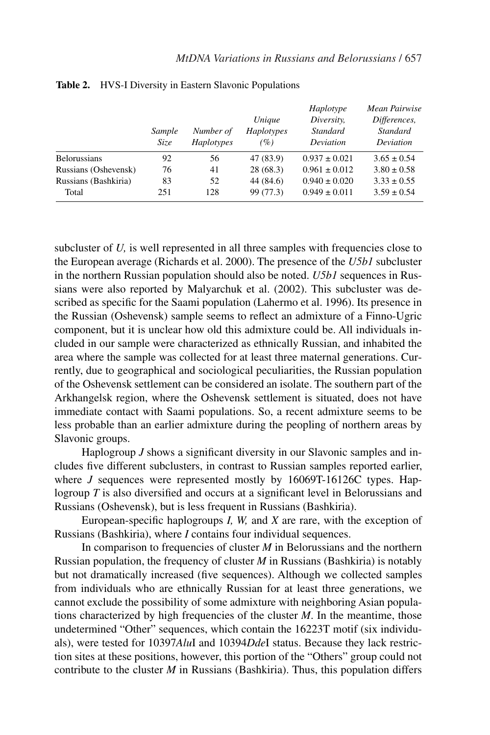|                      | Sample<br>Size | Number of<br>Haplotypes | Unique<br>Haplotypes<br>(%) | Haplotype<br>Diversity,<br>Standard<br>Deviation | Mean Pairwise<br>Differences,<br>Standard<br>Deviation |
|----------------------|----------------|-------------------------|-----------------------------|--------------------------------------------------|--------------------------------------------------------|
| <b>Belorussians</b>  | 92             | 56                      | 47 (83.9)                   | $0.937 \pm 0.021$                                | $3.65 \pm 0.54$                                        |
| Russians (Oshevensk) | 76             | 41                      | 28(68.3)                    | $0.961 \pm 0.012$                                | $3.80 \pm 0.58$                                        |
| Russians (Bashkiria) | 83             | 52                      | 44 (84.6)                   | $0.940 \pm 0.020$                                | $3.33 \pm 0.55$                                        |
| Total                | 251            | 128                     | 99 (77.3)                   | $0.949 \pm 0.011$                                | $3.59 \pm 0.54$                                        |

**Table 2.** HVS-I Diversity in Eastern Slavonic Populations

subcluster of  $U$ , is well represented in all three samples with frequencies close to the European average (Richards et al. 2000). The presence of the *U5b1* subcluster in the northern Russian population should also be noted. *U5b1* sequences in Russians were also reported by Malyarchuk et al. (2002). This subcluster was described as specific for the Saami population (Lahermo et al. 1996). Its presence in the Russian (Oshevensk) sample seems to reflect an admixture of a Finno-Ugric component, but it is unclear how old this admixture could be. All individuals included in our sample were characterized as ethnically Russian, and inhabited the area where the sample was collected for at least three maternal generations. Currently, due to geographical and sociological peculiarities, the Russian population of the Oshevensk settlement can be considered an isolate. The southern part of the Arkhangelsk region, where the Oshevensk settlement is situated, does not have immediate contact with Saami populations. So, a recent admixture seems to be less probable than an earlier admixture during the peopling of northern areas by Slavonic groups.

Haplogroup *J* shows a significant diversity in our Slavonic samples and includes five different subclusters, in contrast to Russian samples reported earlier, where *J* sequences were represented mostly by 16069T-16126C types. Haplogroup *T* is also diversified and occurs at a significant level in Belorussians and Russians (Oshevensk), but is less frequent in Russians (Bashkiria).

European-specific haplogroups *I, W,* and *X* are rare, with the exception of Russians (Bashkiria), where *I* contains four individual sequences.

In comparison to frequencies of cluster *M* in Belorussians and the northern Russian population, the frequency of cluster *M* in Russians (Bashkiria) is notably but not dramatically increased (five sequences). Although we collected samples from individuals who are ethnically Russian for at least three generations, we cannot exclude the possibility of some admixture with neighboring Asian populations characterized by high frequencies of the cluster *M*. In the meantime, those undetermined "Other" sequences, which contain the 16223T motif (six individuals), were tested for 10397*Alu*I and 10394*Dde*I status. Because they lack restriction sites at these positions, however, this portion of the "Others" group could not contribute to the cluster *M* in Russians (Bashkiria). Thus, this population differs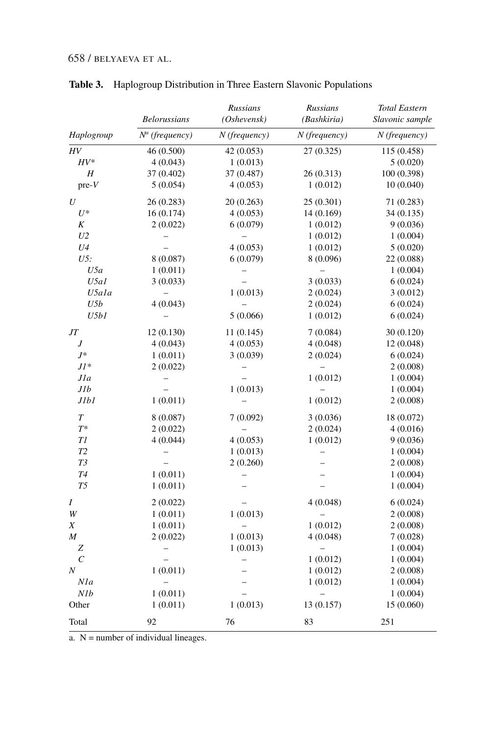#### 658 / belyaeva et al.

|                       |                     | Russians          | Russians        | <b>Total Eastern</b> |
|-----------------------|---------------------|-------------------|-----------------|----------------------|
|                       | <b>Belorussians</b> | (Oshevensk)       | (Bashkiria)     | Slavonic sample      |
| Haplogroup            | $N^a$ (frequency)   | $N$ (frequency)   | $N$ (frequency) | $N$ (frequency)      |
| HV                    | 46 (0.500)          | 42 (0.053)        | 27 (0.325)      | 115 (0.458)          |
| $HV^*$                | 4(0.043)            | 1(0.013)          |                 | 5(0.020)             |
| Η                     | 37 (0.402)          | 37 (0.487)        | 26(0.313)       | 100 (0.398)          |
| $pre-V$               | 5(0.054)            | 4(0.053)          | 1(0.012)        | 10 (0.040)           |
| U                     | 26 (0.283)          | 20 (0.263)        | 25(0.301)       | 71 (0.283)           |
| $U^*$                 | 16(0.174)           | 4(0.053)          | 14 (0.169)      | 34 (0.135)           |
| K                     | 2(0.022)            | 6(0.079)          | 1(0.012)        | 9(0.036)             |
| U <sub>2</sub>        |                     |                   | 1(0.012)        | 1(0.004)             |
| U <sub>4</sub>        |                     | 4(0.053)          | 1(0.012)        | 5(0.020)             |
| U5:                   | 8 (0.087)           | 6(0.079)          | 8 (0.096)       | 22 (0.088)           |
| U5a                   | 1(0.011)            |                   |                 | 1(0.004)             |
| U5a1                  | 3(0.033)            |                   | 3(0.033)        | 6(0.024)             |
| U5ala                 |                     | 1(0.013)          | 2(0.024)        | 3(0.012)             |
| U5b                   | 4(0.043)            |                   | 2(0.024)        | 6(0.024)             |
| U5b1                  |                     | 5(0.066)          | 1(0.012)        | 6(0.024)             |
| JT                    | 12(0.130)           | 11(0.145)         | 7(0.084)        | 30 (0.120)           |
| J                     | 4(0.043)            | 4(0.053)          | 4(0.048)        | 12 (0.048)           |
| $J^*$                 | 1(0.011)            | 3(0.039)          | 2(0.024)        | 6(0.024)             |
| $JI^*$                | 2(0.022)            |                   |                 | 2(0.008)             |
| J1a                   |                     |                   | 1(0.012)        | 1(0.004)             |
| J1b                   |                     | 1(0.013)          |                 | 1(0.004)             |
| J1b1                  | 1(0.011)            |                   | 1(0.012)        | 2(0.008)             |
| $\boldsymbol{T}$      | 8(0.087)            | 7(0.092)          | 3(0.036)        | 18 (0.072)           |
| $T^*$                 | 2(0.022)            | -                 | 2(0.024)        | 4(0.016)             |
| T1                    | 4(0.044)            | 4(0.053)          | 1(0.012)        | 9(0.036)             |
| T2                    |                     | 1(0.013)          |                 | 1(0.004)             |
| T3                    |                     | 2(0.260)          |                 | 2(0.008)             |
| T <sub>4</sub>        | 1(0.011)            | $\overline{a}$    |                 | 1(0.004)             |
| T5                    | 1(0.011)            |                   |                 | 1(0.004)             |
| Ι                     | 2(0.022)            |                   | 4(0.048)        | 6(0.024)             |
| W                     | 1(0.011)            | 1(0.013)          | $\overline{a}$  | 2(0.008)             |
| Χ                     | 1(0.011)            |                   | 1(0.012)        | 2(0.008)             |
| M                     | 2(0.022)            | 1(0.013)          | 4(0.048)        | 7(0.028)             |
| Z                     |                     | 1(0.013)          |                 | 1(0.004)             |
| $\mathcal{C}_{0}^{0}$ |                     | $\qquad \qquad -$ | 1(0.012)        | 1(0.004)             |
| $\boldsymbol{N}$      | 1(0.011)            |                   | 1(0.012)        | 2(0.008)             |
| Nla                   |                     |                   | 1(0.012)        | 1(0.004)             |
| N1b                   | 1(0.011)            |                   |                 | 1(0.004)             |
| Other                 | 1(0.011)            | 1(0.013)          | 13 (0.157)      | 15 (0.060)           |
| Total                 | 92                  | 76                | 83              | 251                  |

### **Table 3.** Haplogroup Distribution in Three Eastern Slavonic Populations

 $a. N =$  number of individual lineages.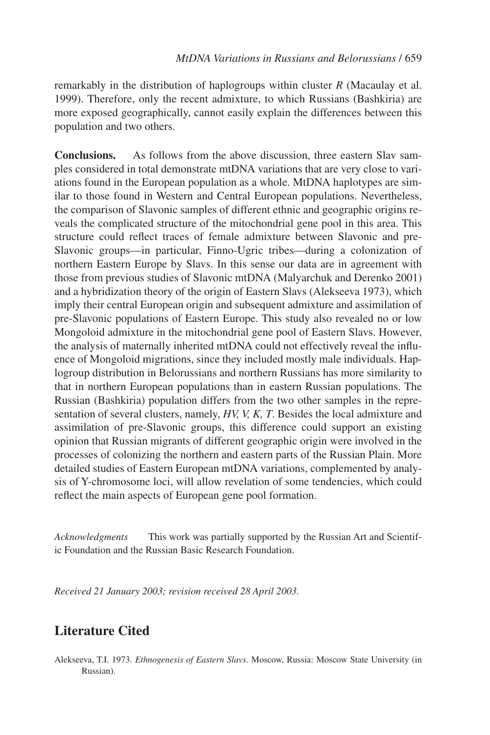remarkably in the distribution of haplogroups within cluster *R* (Macaulay et al. 1999). Therefore, only the recent admixture, to which Russians (Bashkiria) are more exposed geographically, cannot easily explain the differences between this population and two others.

**Conclusions.** As follows from the above discussion, three eastern Slav samples considered in total demonstrate mtDNA variations that are very close to variations found in the European population as a whole. MtDNA haplotypes are similar to those found in Western and Central European populations. Nevertheless, the comparison of Slavonic samples of different ethnic and geographic origins reveals the complicated structure of the mitochondrial gene pool in this area. This structure could reflect traces of female admixture between Slavonic and pre-Slavonic groups—in particular, Finno-Ugric tribes—during a colonization of northern Eastern Europe by Slavs. In this sense our data are in agreement with those from previous studies of Slavonic mtDNA (Malyarchuk and Derenko 2001) and a hybridization theory of the origin of Eastern Slavs (Alekseeva 1973), which imply their central European origin and subsequent admixture and assimilation of pre-Slavonic populations of Eastern Europe. This study also revealed no or low Mongoloid admixture in the mitochondrial gene pool of Eastern Slavs. However, the analysis of maternally inherited mtDNA could not effectively reveal the influence of Mongoloid migrations, since they included mostly male individuals. Haplogroup distribution in Belorussians and northern Russians has more similarity to that in northern European populations than in eastern Russian populations. The Russian (Bashkiria) population differs from the two other samples in the representation of several clusters, namely, *HV, V, K, T*. Besides the local admixture and assimilation of pre-Slavonic groups, this difference could support an existing opinion that Russian migrants of different geographic origin were involved in the processes of colonizing the northern and eastern parts of the Russian Plain. More detailed studies of Eastern European mtDNA variations, complemented by analysis of Y-chromosome loci, will allow revelation of some tendencies, which could reflect the main aspects of European gene pool formation.

*Acknowledgments* This work was partially supported by the Russian Art and Scientific Foundation and the Russian Basic Research Foundation.

*Received 21 January 2003; revision received 28 April 2003.*

# **Literature Cited**

Alekseeva, T.I. 1973. *Ethnogenesis of Eastern Slavs*. Moscow, Russia: Moscow State University (in Russian).